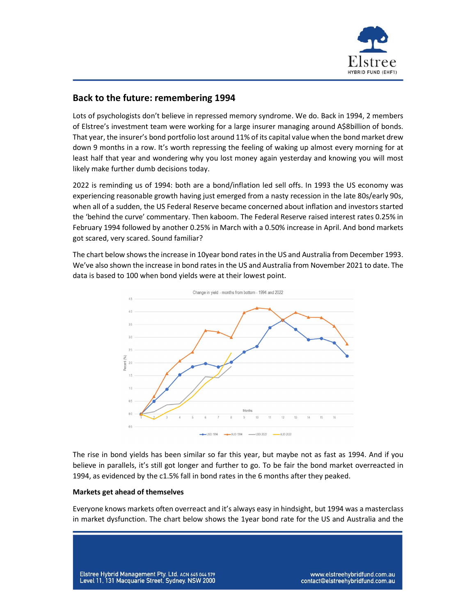

## Back to the future: remembering 1994

Lots of psychologists don't believe in repressed memory syndrome. We do. Back in 1994, 2 members of Elstree's investment team were working for a large insurer managing around A\$8billion of bonds. That year, the insurer's bond portfolio lost around 11% of its capital value when the bond market drew down 9 months in a row. It's worth repressing the feeling of waking up almost every morning for at least half that year and wondering why you lost money again yesterday and knowing you will most likely make further dumb decisions today.

2022 is reminding us of 1994: both are a bond/inflation led sell offs. In 1993 the US economy was experiencing reasonable growth having just emerged from a nasty recession in the late 80s/early 90s, when all of a sudden, the US Federal Reserve became concerned about inflation and investors started the 'behind the curve' commentary. Then kaboom. The Federal Reserve raised interest rates 0.25% in February 1994 followed by another 0.25% in March with a 0.50% increase in April. And bond markets got scared, very scared. Sound familiar?

The chart below shows the increase in 10year bond rates in the US and Australia from December 1993. We've also shown the increase in bond rates in the US and Australia from November 2021 to date. The data is based to 100 when bond yields were at their lowest point.



The rise in bond yields has been similar so far this year, but maybe not as fast as 1994. And if you believe in parallels, it's still got longer and further to go. To be fair the bond market overreacted in 1994, as evidenced by the c1.5% fall in bond rates in the 6 months after they peaked.

## Markets get ahead of themselves

Everyone knows markets often overreact and it's always easy in hindsight, but 1994 was a masterclass in market dysfunction. The chart below shows the 1year bond rate for the US and Australia and the

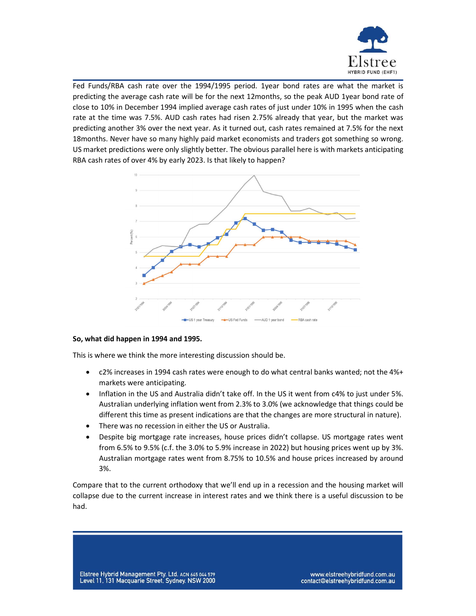

Fed Funds/RBA cash rate over the 1994/1995 period. 1year bond rates are what the market is predicting the average cash rate will be for the next 12months, so the peak AUD 1year bond rate of close to 10% in December 1994 implied average cash rates of just under 10% in 1995 when the cash rate at the time was 7.5%. AUD cash rates had risen 2.75% already that year, but the market was predicting another 3% over the next year. As it turned out, cash rates remained at 7.5% for the next 18months. Never have so many highly paid market economists and traders got something so wrong. US market predictions were only slightly better. The obvious parallel here is with markets anticipating RBA cash rates of over 4% by early 2023. Is that likely to happen?



## So, what did happen in 1994 and 1995.

This is where we think the more interesting discussion should be.

- c2% increases in 1994 cash rates were enough to do what central banks wanted; not the 4%+ markets were anticipating.
- Inflation in the US and Australia didn't take off. In the US it went from c4% to just under 5%. Australian underlying inflation went from 2.3% to 3.0% (we acknowledge that things could be different this time as present indications are that the changes are more structural in nature).
- There was no recession in either the US or Australia.
- Despite big mortgage rate increases, house prices didn't collapse. US mortgage rates went from 6.5% to 9.5% (c.f. the 3.0% to 5.9% increase in 2022) but housing prices went up by 3%. Australian mortgage rates went from 8.75% to 10.5% and house prices increased by around 3%.

Compare that to the current orthodoxy that we'll end up in a recession and the housing market will collapse due to the current increase in interest rates and we think there is a useful discussion to be had.